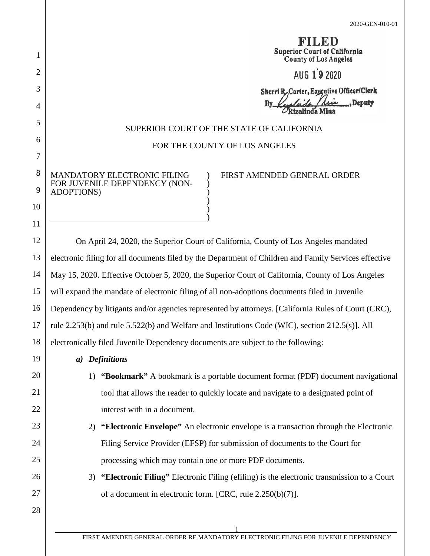|                                                                                                     |                                                                                                       | ÆD<br><b>Superior Court of California</b><br><b>County of Los Angeles</b>          |  |  |
|-----------------------------------------------------------------------------------------------------|-------------------------------------------------------------------------------------------------------|------------------------------------------------------------------------------------|--|--|
|                                                                                                     |                                                                                                       | AUG 19 2020                                                                        |  |  |
|                                                                                                     |                                                                                                       | Sherri R, Carter, Executive Officer/Clerk<br>, Deputy<br>Bv<br>Rizalinda Mina      |  |  |
|                                                                                                     | SUPERIOR COURT OF THE STATE OF CALIFORNIA                                                             |                                                                                    |  |  |
|                                                                                                     | FOR THE COUNTY OF LOS ANGELES                                                                         |                                                                                    |  |  |
| ADOPTIONS)                                                                                          | MANDATORY ELECTRONIC FILING<br>FOR JUVENILE DEPENDENCY (NON-                                          | FIRST AMENDED GENERAL ORDER                                                        |  |  |
|                                                                                                     | On April 24, 2020, the Superior Court of California, County of Los Angeles mandated                   |                                                                                    |  |  |
|                                                                                                     | electronic filing for all documents filed by the Department of Children and Family Services effective |                                                                                    |  |  |
|                                                                                                     | May 15, 2020. Effective October 5, 2020, the Superior Court of California, County of Los Angeles      |                                                                                    |  |  |
|                                                                                                     | will expand the mandate of electronic filing of all non-adoptions documents filed in Juvenile         |                                                                                    |  |  |
| Dependency by litigants and/or agencies represented by attorneys. [California Rules of Court (CRC), |                                                                                                       |                                                                                    |  |  |
| rule 2.253(b) and rule 5.522(b) and Welfare and Institutions Code (WIC), section 212.5(s)]. All     |                                                                                                       |                                                                                    |  |  |
| electronically filed Juvenile Dependency documents are subject to the following:                    |                                                                                                       |                                                                                    |  |  |
|                                                                                                     | a) Definitions                                                                                        |                                                                                    |  |  |
|                                                                                                     |                                                                                                       | 1) "Bookmark" A bookmark is a portable document format (PDF) document navigational |  |  |
|                                                                                                     | tool that allows the reader to quickly locate and navigate to a designated point of                   |                                                                                    |  |  |
|                                                                                                     | interest with in a document.                                                                          |                                                                                    |  |  |
|                                                                                                     | 2) "Electronic Envelope" An electronic envelope is a transaction through the Electronic               |                                                                                    |  |  |
|                                                                                                     | Filing Service Provider (EFSP) for submission of documents to the Court for                           |                                                                                    |  |  |
|                                                                                                     | processing which may contain one or more PDF documents.                                               |                                                                                    |  |  |
|                                                                                                     | 3) "Electronic Filing" Electronic Filing (efiling) is the electronic transmission to a Court          |                                                                                    |  |  |
|                                                                                                     | of a document in electronic form. [CRC, rule 2.250(b)(7)].                                            |                                                                                    |  |  |
|                                                                                                     |                                                                                                       |                                                                                    |  |  |

1

2

3

4

5

6

7

8

9

10

11

12

13

14

15

16

17

18

19

20

21

22

23

24

25

26

27

28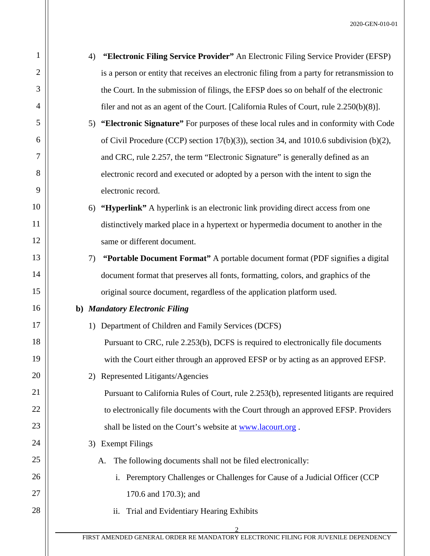2 1 2 3 4 5 6 7 8 9 10 11 12 13 14 15 16 17 18 19 20 21 22 23 24 25 26 27 28 4) **"Electronic Filing Service Provider"** An Electronic Filing Service Provider (EFSP) is a person or entity that receives an electronic filing from a party for retransmission to the Court. In the submission of filings, the EFSP does so on behalf of the electronic filer and not as an agent of the Court. [California Rules of Court, rule 2.250(b)(8)]. 5) **"Electronic Signature"** For purposes of these local rules and in conformity with Code of Civil Procedure (CCP) section  $17(b)(3)$ ), section 34, and 1010.6 subdivision (b)(2), and CRC, rule 2.257, the term "Electronic Signature" is generally defined as an electronic record and executed or adopted by a person with the intent to sign the electronic record. 6) **"Hyperlink"** A hyperlink is an electronic link providing direct access from one distinctively marked place in a hypertext or hypermedia document to another in the same or different document. 7) **"Portable Document Format"** A portable document format (PDF signifies a digital document format that preserves all fonts, formatting, colors, and graphics of the original source document, regardless of the application platform used. **b)** *Mandatory Electronic Filing* 1) Department of Children and Family Services (DCFS) Pursuant to CRC, rule 2.253(b), DCFS is required to electronically file documents with the Court either through an approved EFSP or by acting as an approved EFSP. 2) Represented Litigants/Agencies Pursuant to California Rules of Court, rule 2.253(b), represented litigants are required to electronically file documents with the Court through an approved EFSP. Providers shall be listed on the Court's website at [www.lacourt.org](http://www.lacourt.org/). 3) Exempt Filings A. The following documents shall not be filed electronically: i. Peremptory Challenges or Challenges for Cause of a Judicial Officer (CCP 170.6 and 170.3); and ii. Trial and Evidentiary Hearing Exhibits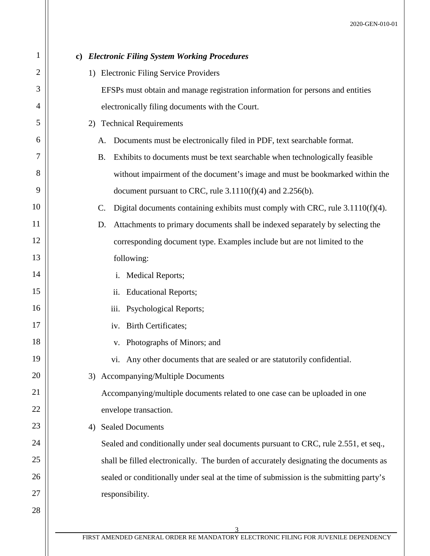| $\mathbf{1}$   |                                                                                          |
|----------------|------------------------------------------------------------------------------------------|
|                | c) Electronic Filing System Working Procedures                                           |
| $\overline{2}$ | 1) Electronic Filing Service Providers                                                   |
| 3              | EFSPs must obtain and manage registration information for persons and entities           |
| 4              | electronically filing documents with the Court.                                          |
| 5              | <b>Technical Requirements</b><br>2)                                                      |
| 6              | Documents must be electronically filed in PDF, text searchable format.<br>A.             |
| 7              | Exhibits to documents must be text searchable when technologically feasible<br><b>B.</b> |
| 8              | without impairment of the document's image and must be bookmarked within the             |
| 9              | document pursuant to CRC, rule $3.1110(f)(4)$ and $2.256(b)$ .                           |
| 10             | Digital documents containing exhibits must comply with CRC, rule $3.1110(f)(4)$ .<br>C.  |
| 11             | Attachments to primary documents shall be indexed separately by selecting the<br>D.      |
| 12             | corresponding document type. Examples include but are not limited to the                 |
| 13             | following:                                                                               |
| 14             | i. Medical Reports;                                                                      |
| 15             | ii. Educational Reports;                                                                 |
| 16             | iii. Psychological Reports;                                                              |
| 17             | iv. Birth Certificates;                                                                  |
| 18             | v. Photographs of Minors; and                                                            |
| 19             | vi. Any other documents that are sealed or are statutorily confidential.                 |
| 20             | Accompanying/Multiple Documents<br>3)                                                    |
| 21             | Accompanying/multiple documents related to one case can be uploaded in one               |
| 22             | envelope transaction.                                                                    |
| 23             | <b>Sealed Documents</b><br>4)                                                            |
| 24             | Sealed and conditionally under seal documents pursuant to CRC, rule 2.551, et seq.,      |
| 25             | shall be filled electronically. The burden of accurately designating the documents as    |
| 26             | sealed or conditionally under seal at the time of submission is the submitting party's   |
| 27             | responsibility.                                                                          |
| 28             |                                                                                          |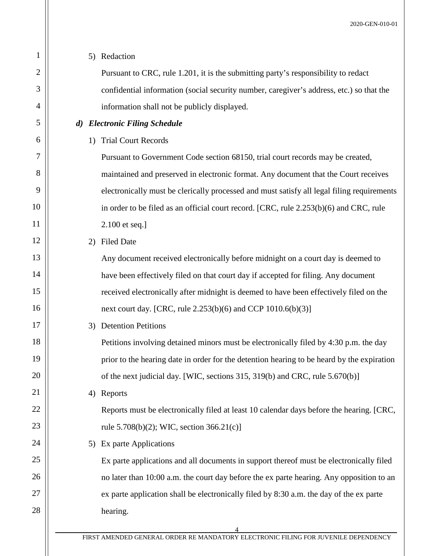| 1  | 5) Redaction                                                                               |
|----|--------------------------------------------------------------------------------------------|
| 2  | Pursuant to CRC, rule 1.201, it is the submitting party's responsibility to redact         |
| 3  | confidential information (social security number, caregiver's address, etc.) so that the   |
| 4  | information shall not be publicly displayed.                                               |
| 5  | d) Electronic Filing Schedule                                                              |
| 6  | 1) Trial Court Records                                                                     |
| 7  | Pursuant to Government Code section 68150, trial court records may be created,             |
| 8  | maintained and preserved in electronic format. Any document that the Court receives        |
| 9  | electronically must be clerically processed and must satisfy all legal filing requirements |
| 10 | in order to be filed as an official court record. [CRC, rule 2.253(b)(6) and CRC, rule     |
| 11 | 2.100 et seq.]                                                                             |
| 12 | <b>Filed Date</b><br>2)                                                                    |
| 13 | Any document received electronically before midnight on a court day is deemed to           |
| 14 | have been effectively filed on that court day if accepted for filing. Any document         |
| 15 | received electronically after midnight is deemed to have been effectively filed on the     |
| 16 | next court day. [CRC, rule 2.253(b)(6) and CCP 1010.6(b)(3)]                               |
| 17 | <b>Detention Petitions</b><br>3)                                                           |
| 18 | Petitions involving detained minors must be electronically filed by 4:30 p.m. the day      |
| 19 | prior to the hearing date in order for the detention hearing to be heard by the expiration |
| 20 | of the next judicial day. [WIC, sections 315, 319(b) and CRC, rule 5.670(b)]               |
| 21 | Reports<br>4)                                                                              |
| 22 | Reports must be electronically filed at least 10 calendar days before the hearing. [CRC,   |
| 23 | rule $5.708(b)(2)$ ; WIC, section $366.21(c)$ ]                                            |
| 24 | Ex parte Applications<br>5)                                                                |
| 25 | Ex parte applications and all documents in support thereof must be electronically filed    |
| 26 | no later than 10:00 a.m. the court day before the ex parte hearing. Any opposition to an   |
| 27 | ex parte application shall be electronically filed by 8:30 a.m. the day of the ex parte    |
| 28 | hearing.                                                                                   |
|    | 4                                                                                          |